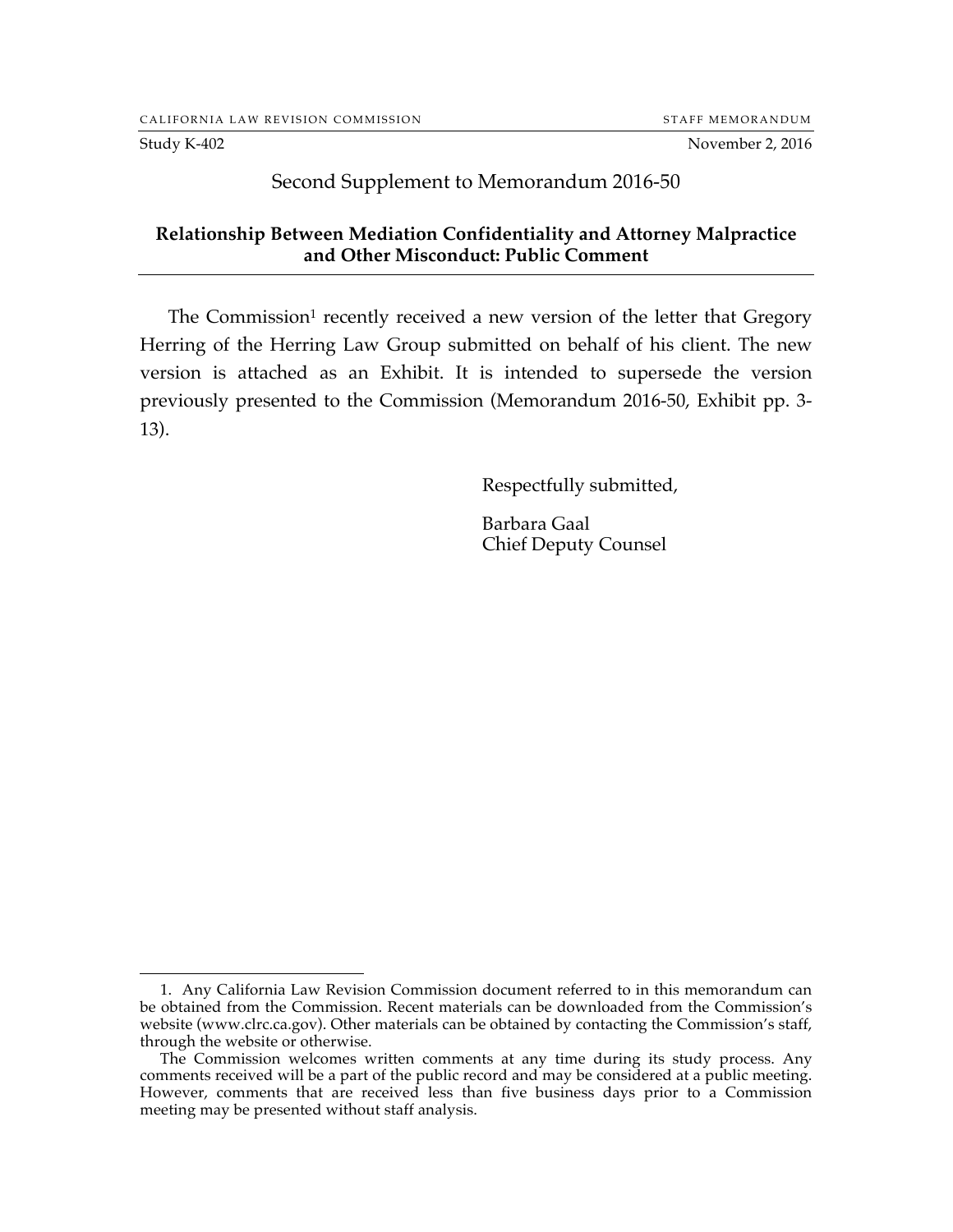# Second Supplement to Memorandum 2016-50

### **Relationship Between Mediation Confidentiality and Attorney Malpractice and Other Misconduct: Public Comment**

The Commission<sup>1</sup> recently received a new version of the letter that Gregory Herring of the Herring Law Group submitted on behalf of his client. The new version is attached as an Exhibit. It is intended to supersede the version previously presented to the Commission (Memorandum 2016-50, Exhibit pp. 3- 13).

Respectfully submitted,

Barbara Gaal Chief Deputy Counsel

 <sup>1.</sup> Any California Law Revision Commission document referred to in this memorandum can be obtained from the Commission. Recent materials can be downloaded from the Commission's website (www.clrc.ca.gov). Other materials can be obtained by contacting the Commission's staff, through the website or otherwise.

The Commission welcomes written comments at any time during its study process. Any comments received will be a part of the public record and may be considered at a public meeting. However, comments that are received less than five business days prior to a Commission meeting may be presented without staff analysis.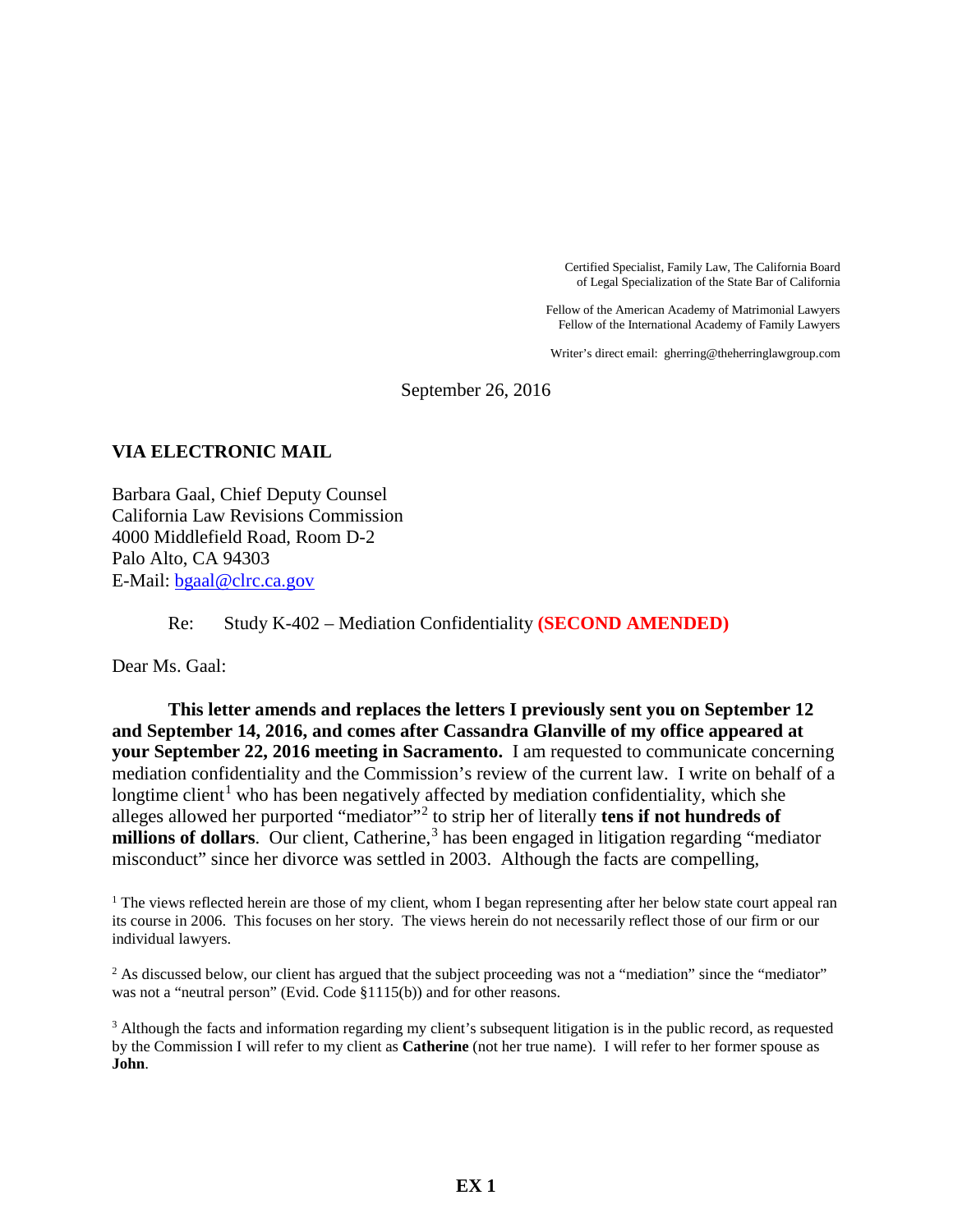Certified Specialist, Family Law, The California Board of Legal Specialization of the State Bar of California

Fellow of the American Academy of Matrimonial Lawyers Fellow of the International Academy of Family Lawyers

Writer's direct email: gherring@theherringlawgroup.com

September 26, 2016

#### **VIA ELECTRONIC MAIL**

Barbara Gaal, Chief Deputy Counsel California Law Revisions Commission 4000 Middlefield Road, Room D-2 Palo Alto, CA 94303 E-Mail: bgaal@clrc.ca.gov

Re: Study K-402 – Mediation Confidentiality **(SECOND AMENDED)**

Dear Ms. Gaal:

**This letter amends and replaces the letters I previously sent you on September 12 and September 14, 2016, and comes after Cassandra Glanville of my office appeared at your September 22, 2016 meeting in Sacramento.** I am requested to communicate concerning mediation confidentiality and the Commission's review of the current law. I write on behalf of a longtime client<sup>1</sup> who has been negatively affected by mediation confidentiality, which she alleges allowed her purported "mediator"<sup>2</sup> to strip her of literally **tens if not hundreds of**  millions of dollars. Our client, Catherine,<sup>3</sup> has been engaged in litigation regarding "mediator misconduct" since her divorce was settled in 2003. Although the facts are compelling,

<sup>1</sup> The views reflected herein are those of my client, whom I began representing after her below state court appeal ran its course in 2006. This focuses on her story. The views herein do not necessarily reflect those of our firm or our individual lawyers.

<sup>2</sup> As discussed below, our client has argued that the subject proceeding was not a "mediation" since the "mediator" was not a "neutral person" (Evid. Code §1115(b)) and for other reasons.

 $3$  Although the facts and information regarding my client's subsequent litigation is in the public record, as requested by the Commission I will refer to my client as **Catherine** (not her true name). I will refer to her former spouse as **John**.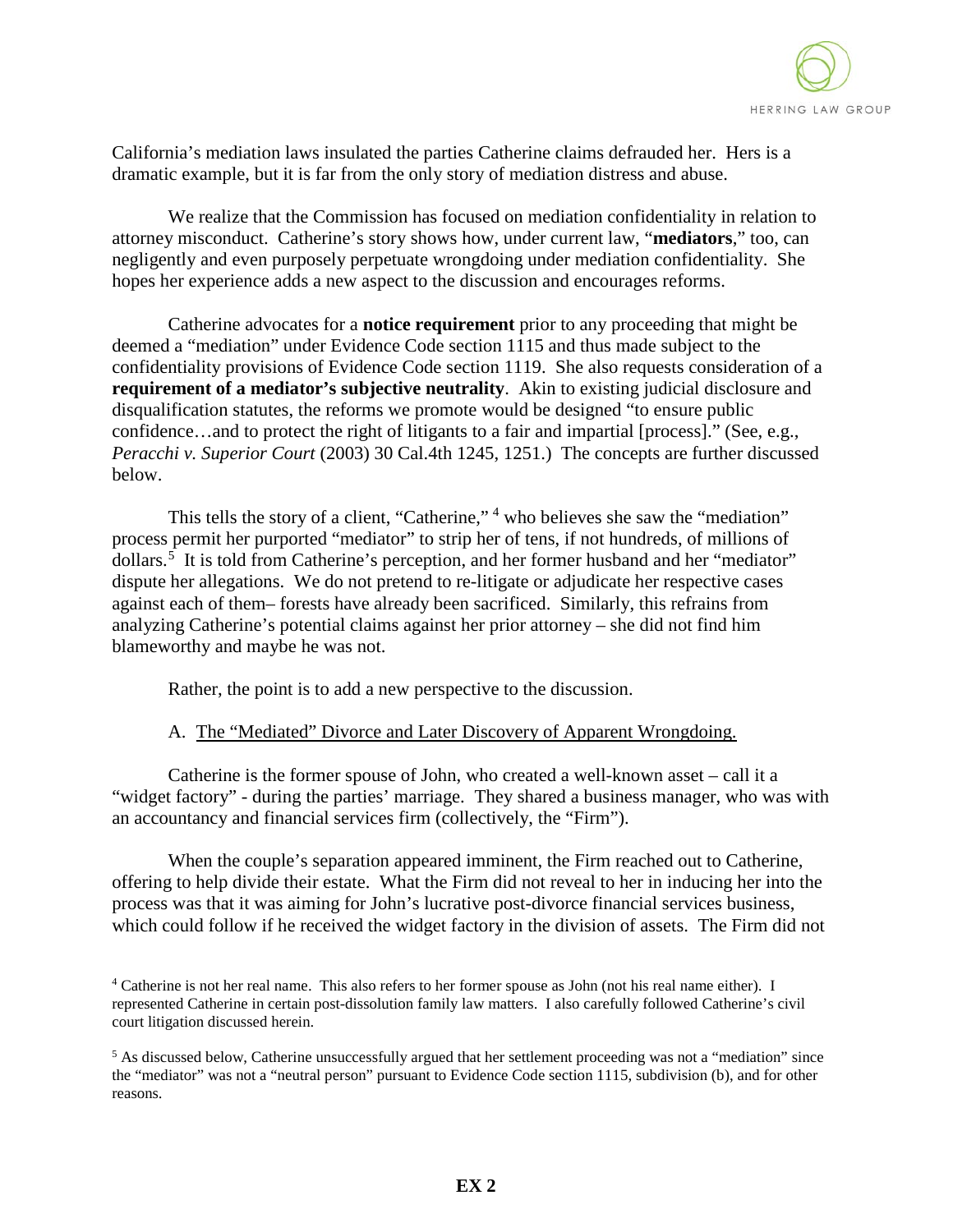

California's mediation laws insulated the parties Catherine claims defrauded her. Hers is a dramatic example, but it is far from the only story of mediation distress and abuse.

We realize that the Commission has focused on mediation confidentiality in relation to attorney misconduct. Catherine's story shows how, under current law, "**mediators**," too, can negligently and even purposely perpetuate wrongdoing under mediation confidentiality. She hopes her experience adds a new aspect to the discussion and encourages reforms.

Catherine advocates for a **notice requirement** prior to any proceeding that might be deemed a "mediation" under Evidence Code section 1115 and thus made subject to the confidentiality provisions of Evidence Code section 1119. She also requests consideration of a **requirement of a mediator's subjective neutrality**. Akin to existing judicial disclosure and disqualification statutes, the reforms we promote would be designed "to ensure public confidence…and to protect the right of litigants to a fair and impartial [process]." (See, e.g., *Peracchi v. Superior Court* (2003) 30 Cal.4th 1245, 1251.) The concepts are further discussed below.

This tells the story of a client, "Catherine,"<sup>4</sup> who believes she saw the "mediation" process permit her purported "mediator" to strip her of tens, if not hundreds, of millions of dollars.<sup>5</sup> It is told from Catherine's perception, and her former husband and her "mediator" dispute her allegations. We do not pretend to re-litigate or adjudicate her respective cases against each of them– forests have already been sacrificed. Similarly, this refrains from analyzing Catherine's potential claims against her prior attorney – she did not find him blameworthy and maybe he was not.

Rather, the point is to add a new perspective to the discussion.

#### A. The "Mediated" Divorce and Later Discovery of Apparent Wrongdoing.

Catherine is the former spouse of John, who created a well-known asset – call it a "widget factory" - during the parties' marriage. They shared a business manager, who was with an accountancy and financial services firm (collectively, the "Firm").

 When the couple's separation appeared imminent, the Firm reached out to Catherine, offering to help divide their estate. What the Firm did not reveal to her in inducing her into the process was that it was aiming for John's lucrative post-divorce financial services business, which could follow if he received the widget factory in the division of assets. The Firm did not

<sup>4</sup> Catherine is not her real name. This also refers to her former spouse as John (not his real name either). I represented Catherine in certain post-dissolution family law matters. I also carefully followed Catherine's civil court litigation discussed herein.

<sup>&</sup>lt;sup>5</sup> As discussed below, Catherine unsuccessfully argued that her settlement proceeding was not a "mediation" since the "mediator" was not a "neutral person" pursuant to Evidence Code section 1115, subdivision (b), and for other reasons.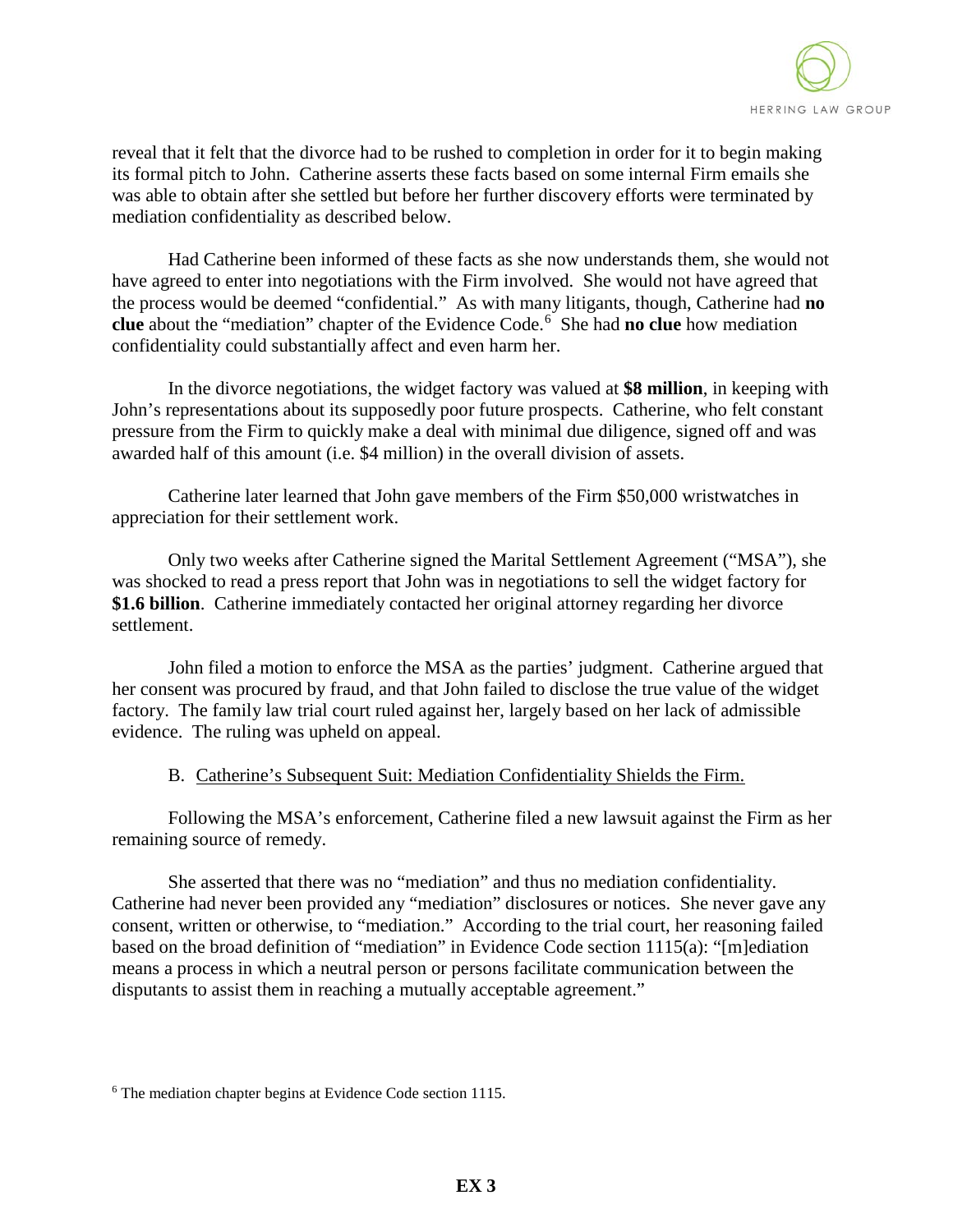

reveal that it felt that the divorce had to be rushed to completion in order for it to begin making its formal pitch to John. Catherine asserts these facts based on some internal Firm emails she was able to obtain after she settled but before her further discovery efforts were terminated by mediation confidentiality as described below.

 Had Catherine been informed of these facts as she now understands them, she would not have agreed to enter into negotiations with the Firm involved. She would not have agreed that the process would be deemed "confidential." As with many litigants, though, Catherine had **no**  clue about the "mediation" chapter of the Evidence Code.<sup>6</sup> She had **no clue** how mediation confidentiality could substantially affect and even harm her.

In the divorce negotiations, the widget factory was valued at **\$8 million**, in keeping with John's representations about its supposedly poor future prospects. Catherine, who felt constant pressure from the Firm to quickly make a deal with minimal due diligence, signed off and was awarded half of this amount (i.e. \$4 million) in the overall division of assets.

Catherine later learned that John gave members of the Firm \$50,000 wristwatches in appreciation for their settlement work.

Only two weeks after Catherine signed the Marital Settlement Agreement ("MSA"), she was shocked to read a press report that John was in negotiations to sell the widget factory for **\$1.6 billion**. Catherine immediately contacted her original attorney regarding her divorce settlement.

 John filed a motion to enforce the MSA as the parties' judgment. Catherine argued that her consent was procured by fraud, and that John failed to disclose the true value of the widget factory. The family law trial court ruled against her, largely based on her lack of admissible evidence. The ruling was upheld on appeal.

### B. Catherine's Subsequent Suit: Mediation Confidentiality Shields the Firm.

 Following the MSA's enforcement, Catherine filed a new lawsuit against the Firm as her remaining source of remedy.

She asserted that there was no "mediation" and thus no mediation confidentiality. Catherine had never been provided any "mediation" disclosures or notices. She never gave any consent, written or otherwise, to "mediation." According to the trial court, her reasoning failed based on the broad definition of "mediation" in Evidence Code section 1115(a): "[m]ediation means a process in which a neutral person or persons facilitate communication between the disputants to assist them in reaching a mutually acceptable agreement."

<sup>&</sup>lt;sup>6</sup> The mediation chapter begins at Evidence Code section 1115.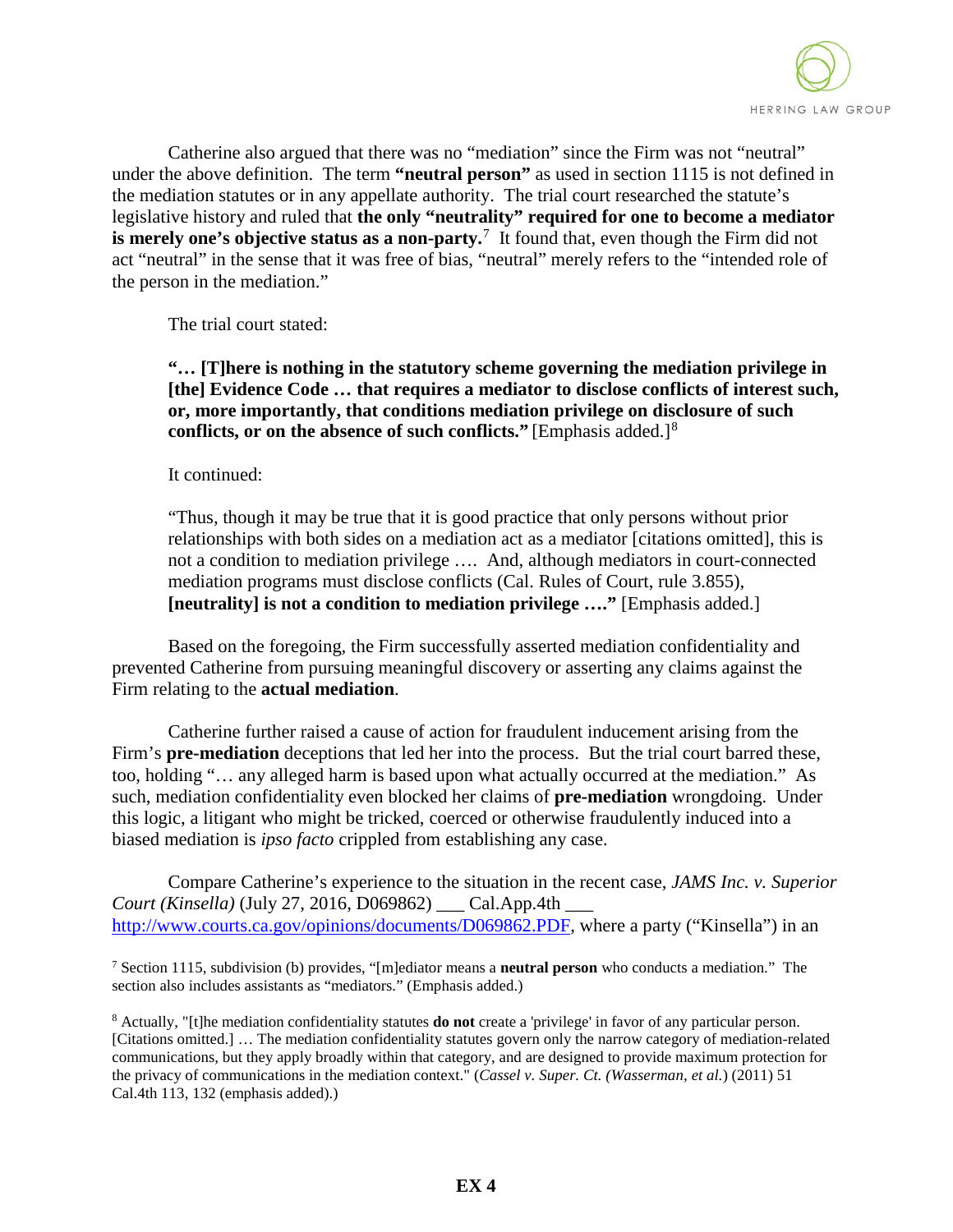

Catherine also argued that there was no "mediation" since the Firm was not "neutral" under the above definition. The term **"neutral person"** as used in section 1115 is not defined in the mediation statutes or in any appellate authority. The trial court researched the statute's legislative history and ruled that **the only "neutrality" required for one to become a mediator is merely one's objective status as a non-party.**<sup>7</sup> It found that, even though the Firm did not act "neutral" in the sense that it was free of bias, "neutral" merely refers to the "intended role of the person in the mediation."

The trial court stated:

**"… [T]here is nothing in the statutory scheme governing the mediation privilege in [the] Evidence Code … that requires a mediator to disclose conflicts of interest such, or, more importantly, that conditions mediation privilege on disclosure of such conflicts, or on the absence of such conflicts."** [Emphasis added.]<sup>8</sup>

It continued:

"Thus, though it may be true that it is good practice that only persons without prior relationships with both sides on a mediation act as a mediator [citations omitted], this is not a condition to mediation privilege …. And, although mediators in court-connected mediation programs must disclose conflicts (Cal. Rules of Court, rule 3.855), **[neutrality] is not a condition to mediation privilege …."** [Emphasis added.]

Based on the foregoing, the Firm successfully asserted mediation confidentiality and prevented Catherine from pursuing meaningful discovery or asserting any claims against the Firm relating to the **actual mediation**.

Catherine further raised a cause of action for fraudulent inducement arising from the Firm's **pre-mediation** deceptions that led her into the process. But the trial court barred these, too, holding "… any alleged harm is based upon what actually occurred at the mediation." As such, mediation confidentiality even blocked her claims of **pre-mediation** wrongdoing. Under this logic, a litigant who might be tricked, coerced or otherwise fraudulently induced into a biased mediation is *ipso facto* crippled from establishing any case.

Compare Catherine's experience to the situation in the recent case, *JAMS Inc. v. Superior Court (Kinsella)* (July 27, 2016, D069862) \_\_\_ Cal.App.4th \_\_\_ http://www.courts.ca.gov/opinions/documents/D069862.PDF, where a party ("Kinsella") in an

<sup>7</sup> Section 1115, subdivision (b) provides, "[m]ediator means a **neutral person** who conducts a mediation." The section also includes assistants as "mediators." (Emphasis added.)

<sup>8</sup> Actually, "[t]he mediation confidentiality statutes **do not** create a 'privilege' in favor of any particular person. [Citations omitted.] … The mediation confidentiality statutes govern only the narrow category of mediation-related communications, but they apply broadly within that category, and are designed to provide maximum protection for the privacy of communications in the mediation context." (*Cassel v. Super. Ct. (Wasserman, et al.*) (2011) 51 Cal.4th 113, 132 (emphasis added).)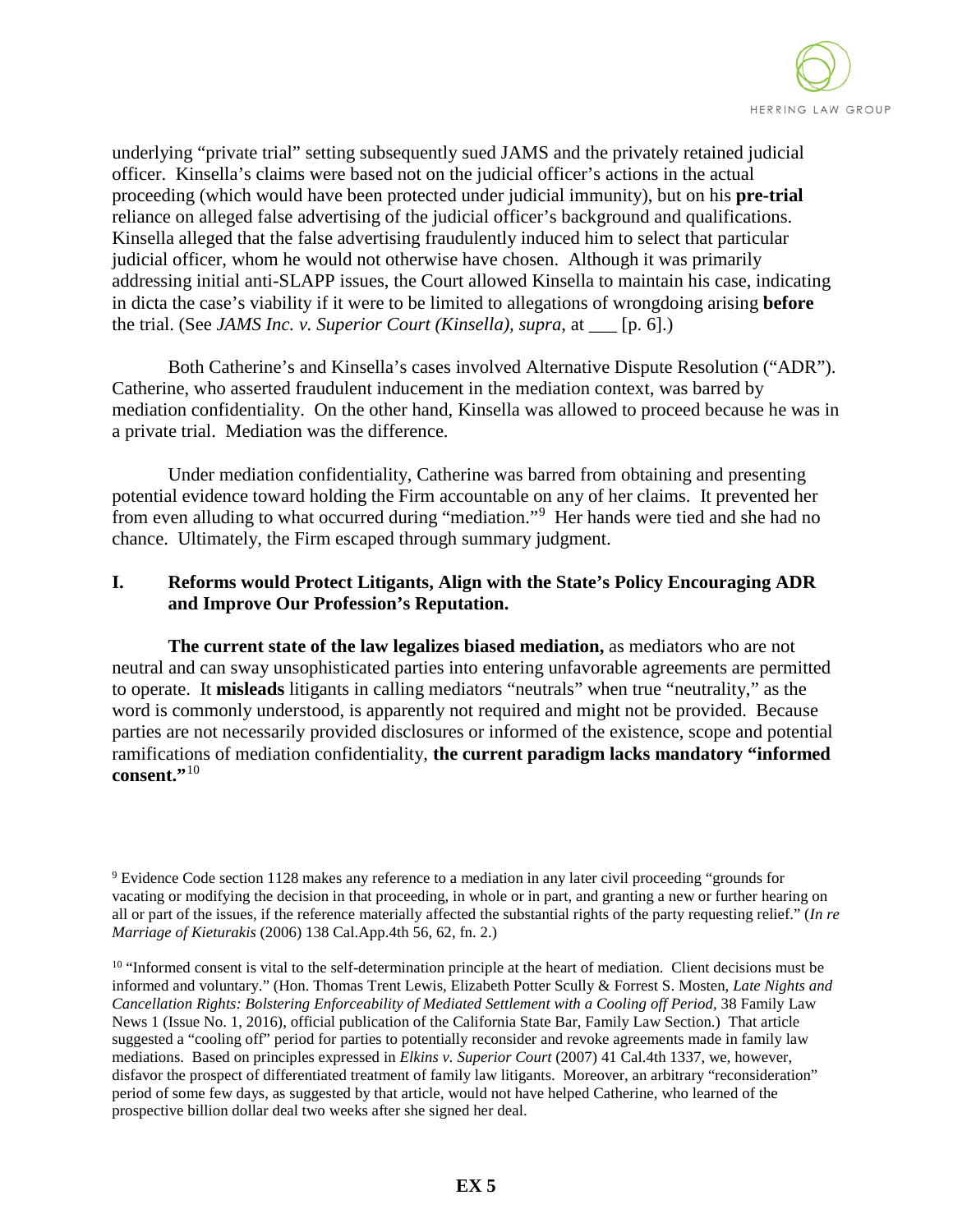

underlying "private trial" setting subsequently sued JAMS and the privately retained judicial officer. Kinsella's claims were based not on the judicial officer's actions in the actual proceeding (which would have been protected under judicial immunity), but on his **pre-trial** reliance on alleged false advertising of the judicial officer's background and qualifications. Kinsella alleged that the false advertising fraudulently induced him to select that particular judicial officer, whom he would not otherwise have chosen. Although it was primarily addressing initial anti-SLAPP issues, the Court allowed Kinsella to maintain his case, indicating in dicta the case's viability if it were to be limited to allegations of wrongdoing arising **before** the trial. (See *JAMS Inc. v. Superior Court (Kinsella), supra*, at \_\_\_ [p. 6].)

Both Catherine's and Kinsella's cases involved Alternative Dispute Resolution ("ADR"). Catherine, who asserted fraudulent inducement in the mediation context, was barred by mediation confidentiality. On the other hand, Kinsella was allowed to proceed because he was in a private trial. Mediation was the difference.

Under mediation confidentiality, Catherine was barred from obtaining and presenting potential evidence toward holding the Firm accountable on any of her claims. It prevented her from even alluding to what occurred during "mediation."<sup>9</sup> Her hands were tied and she had no chance. Ultimately, the Firm escaped through summary judgment.

## **I. Reforms would Protect Litigants, Align with the State's Policy Encouraging ADR and Improve Our Profession's Reputation.**

**The current state of the law legalizes biased mediation,** as mediators who are not neutral and can sway unsophisticated parties into entering unfavorable agreements are permitted to operate. It **misleads** litigants in calling mediators "neutrals" when true "neutrality," as the word is commonly understood, is apparently not required and might not be provided. Because parties are not necessarily provided disclosures or informed of the existence, scope and potential ramifications of mediation confidentiality, **the current paradigm lacks mandatory "informed consent."**<sup>10</sup>

<sup>9</sup> Evidence Code section 1128 makes any reference to a mediation in any later civil proceeding "grounds for vacating or modifying the decision in that proceeding, in whole or in part, and granting a new or further hearing on all or part of the issues, if the reference materially affected the substantial rights of the party requesting relief." (*In re Marriage of Kieturakis* (2006) 138 Cal.App.4th 56, 62, fn. 2.)

<sup>&</sup>lt;sup>10</sup> "Informed consent is vital to the self-determination principle at the heart of mediation. Client decisions must be informed and voluntary." (Hon. Thomas Trent Lewis, Elizabeth Potter Scully & Forrest S. Mosten, *Late Nights and Cancellation Rights: Bolstering Enforceability of Mediated Settlement with a Cooling off Period,* 38 Family Law News 1 (Issue No. 1, 2016), official publication of the California State Bar, Family Law Section.) That article suggested a "cooling off" period for parties to potentially reconsider and revoke agreements made in family law mediations. Based on principles expressed in *Elkins v. Superior Court* (2007) 41 Cal.4th 1337, we, however, disfavor the prospect of differentiated treatment of family law litigants. Moreover, an arbitrary "reconsideration" period of some few days, as suggested by that article, would not have helped Catherine, who learned of the prospective billion dollar deal two weeks after she signed her deal.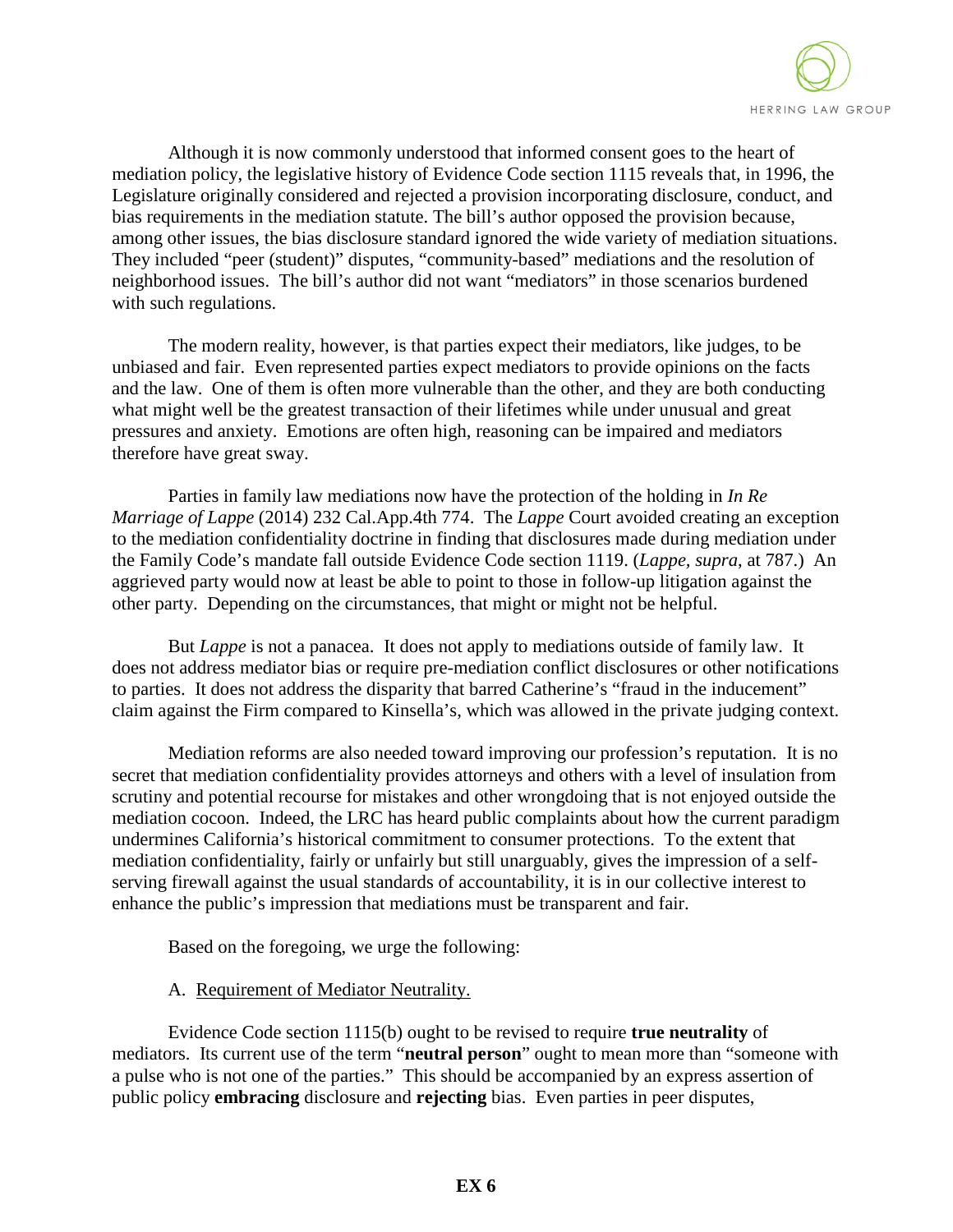

Although it is now commonly understood that informed consent goes to the heart of mediation policy, the legislative history of Evidence Code section 1115 reveals that, in 1996, the Legislature originally considered and rejected a provision incorporating disclosure, conduct, and bias requirements in the mediation statute. The bill's author opposed the provision because, among other issues, the bias disclosure standard ignored the wide variety of mediation situations. They included "peer (student)" disputes, "community-based" mediations and the resolution of neighborhood issues. The bill's author did not want "mediators" in those scenarios burdened with such regulations.

The modern reality, however, is that parties expect their mediators, like judges, to be unbiased and fair. Even represented parties expect mediators to provide opinions on the facts and the law. One of them is often more vulnerable than the other, and they are both conducting what might well be the greatest transaction of their lifetimes while under unusual and great pressures and anxiety. Emotions are often high, reasoning can be impaired and mediators therefore have great sway.

Parties in family law mediations now have the protection of the holding in *In Re Marriage of Lappe* (2014) 232 Cal.App.4th 774. The *Lappe* Court avoided creating an exception to the mediation confidentiality doctrine in finding that disclosures made during mediation under the Family Code's mandate fall outside Evidence Code section 1119. (*Lappe, supra*, at 787.) An aggrieved party would now at least be able to point to those in follow-up litigation against the other party. Depending on the circumstances, that might or might not be helpful.

But *Lappe* is not a panacea. It does not apply to mediations outside of family law. It does not address mediator bias or require pre-mediation conflict disclosures or other notifications to parties. It does not address the disparity that barred Catherine's "fraud in the inducement" claim against the Firm compared to Kinsella's, which was allowed in the private judging context.

Mediation reforms are also needed toward improving our profession's reputation. It is no secret that mediation confidentiality provides attorneys and others with a level of insulation from scrutiny and potential recourse for mistakes and other wrongdoing that is not enjoyed outside the mediation cocoon. Indeed, the LRC has heard public complaints about how the current paradigm undermines California's historical commitment to consumer protections. To the extent that mediation confidentiality, fairly or unfairly but still unarguably, gives the impression of a selfserving firewall against the usual standards of accountability, it is in our collective interest to enhance the public's impression that mediations must be transparent and fair.

Based on the foregoing, we urge the following:

### A. Requirement of Mediator Neutrality.

Evidence Code section 1115(b) ought to be revised to require **true neutrality** of mediators. Its current use of the term "**neutral person**" ought to mean more than "someone with a pulse who is not one of the parties." This should be accompanied by an express assertion of public policy **embracing** disclosure and **rejecting** bias. Even parties in peer disputes,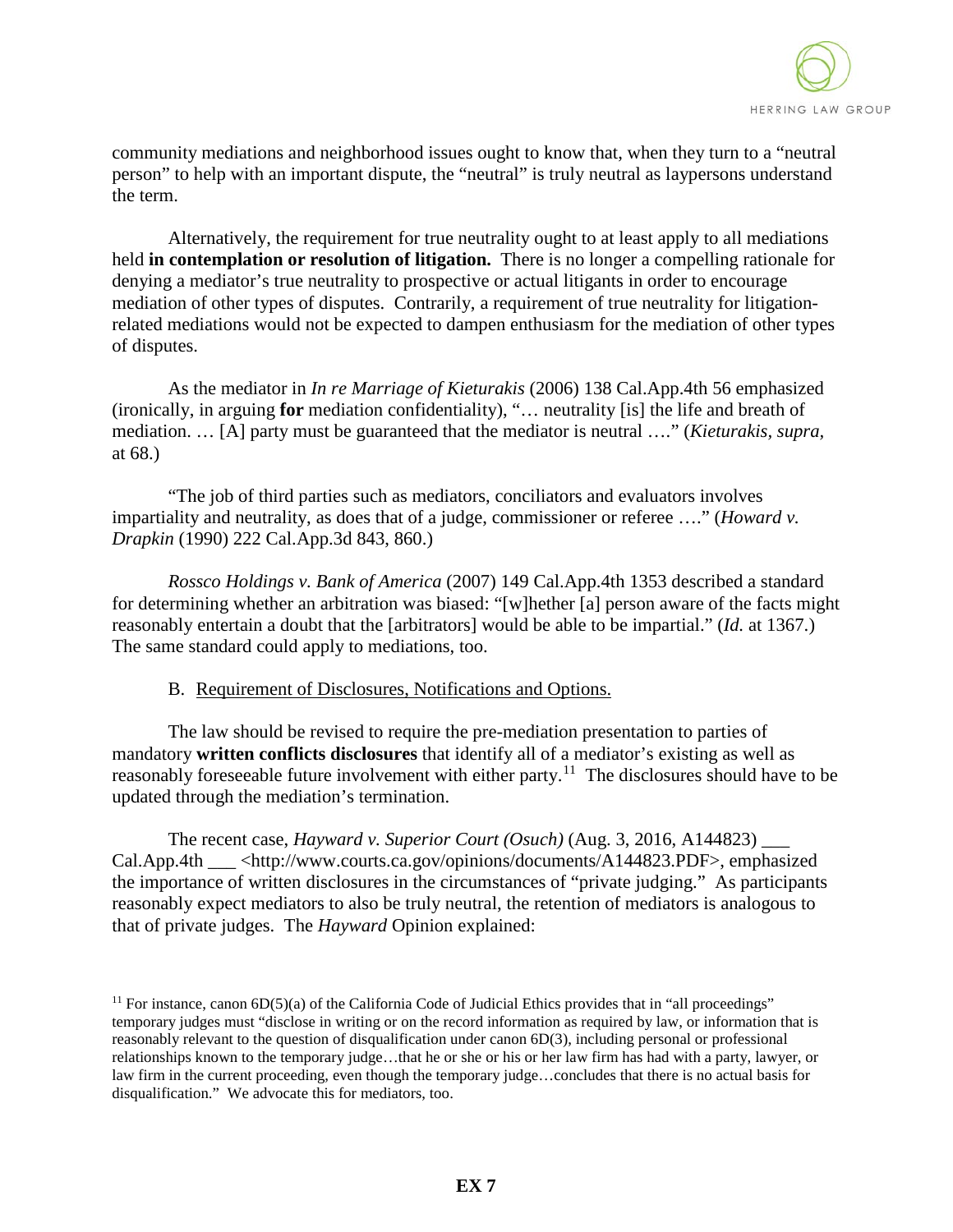

community mediations and neighborhood issues ought to know that, when they turn to a "neutral person" to help with an important dispute, the "neutral" is truly neutral as laypersons understand the term.

Alternatively, the requirement for true neutrality ought to at least apply to all mediations held **in contemplation or resolution of litigation.** There is no longer a compelling rationale for denying a mediator's true neutrality to prospective or actual litigants in order to encourage mediation of other types of disputes. Contrarily, a requirement of true neutrality for litigationrelated mediations would not be expected to dampen enthusiasm for the mediation of other types of disputes.

As the mediator in *In re Marriage of Kieturakis* (2006) 138 Cal.App.4th 56 emphasized (ironically, in arguing **for** mediation confidentiality), "… neutrality [is] the life and breath of mediation. … [A] party must be guaranteed that the mediator is neutral …." (*Kieturakis, supra,* at 68.)

"The job of third parties such as mediators, conciliators and evaluators involves impartiality and neutrality, as does that of a judge, commissioner or referee …." (*Howard v. Drapkin* (1990) 222 Cal.App.3d 843, 860.)

*Rossco Holdings v. Bank of America* (2007) 149 Cal.App.4th 1353 described a standard for determining whether an arbitration was biased: "[w]hether [a] person aware of the facts might reasonably entertain a doubt that the [arbitrators] would be able to be impartial." (*Id.* at 1367.) The same standard could apply to mediations, too.

### B. Requirement of Disclosures, Notifications and Options.

The law should be revised to require the pre-mediation presentation to parties of mandatory **written conflicts disclosures** that identify all of a mediator's existing as well as reasonably foreseeable future involvement with either party.<sup>11</sup> The disclosures should have to be updated through the mediation's termination.

The recent case, *Hayward v. Superior Court (Osuch)* (Aug. 3, 2016, A144823) \_\_\_ Cal.App.4th  $\langle \text{http://www.courts.ca.gov/opinions/documents/A144823.PDF}\rangle$ , emphasized the importance of written disclosures in the circumstances of "private judging." As participants reasonably expect mediators to also be truly neutral, the retention of mediators is analogous to that of private judges. The *Hayward* Opinion explained:

<sup>&</sup>lt;sup>11</sup> For instance, canon  $6D(5)(a)$  of the California Code of Judicial Ethics provides that in "all proceedings" temporary judges must "disclose in writing or on the record information as required by law, or information that is reasonably relevant to the question of disqualification under canon 6D(3), including personal or professional relationships known to the temporary judge…that he or she or his or her law firm has had with a party, lawyer, or law firm in the current proceeding, even though the temporary judge…concludes that there is no actual basis for disqualification." We advocate this for mediators, too.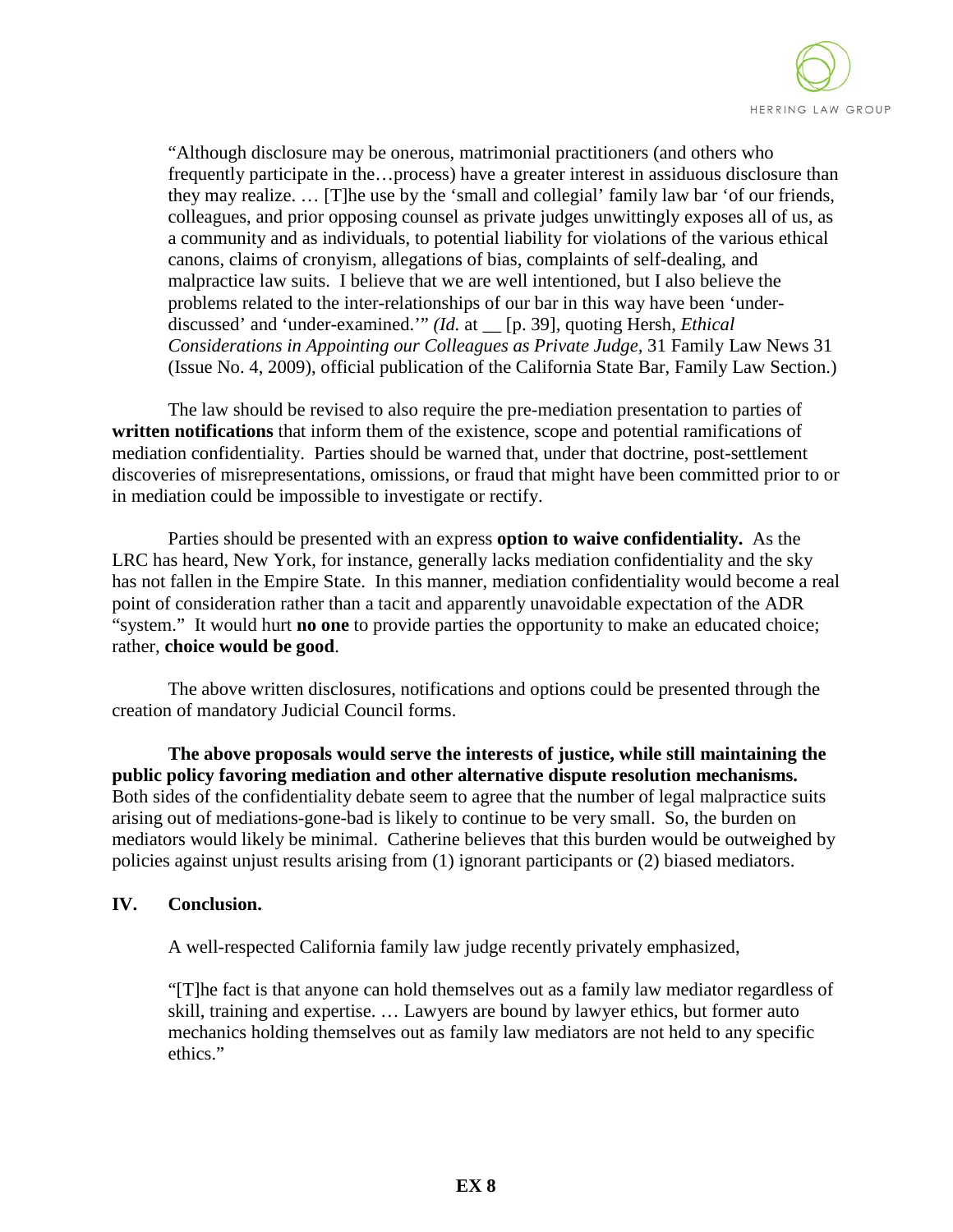

"Although disclosure may be onerous, matrimonial practitioners (and others who frequently participate in the…process) have a greater interest in assiduous disclosure than they may realize. … [T]he use by the 'small and collegial' family law bar 'of our friends, colleagues, and prior opposing counsel as private judges unwittingly exposes all of us, as a community and as individuals, to potential liability for violations of the various ethical canons, claims of cronyism, allegations of bias, complaints of self-dealing, and malpractice law suits. I believe that we are well intentioned, but I also believe the problems related to the inter-relationships of our bar in this way have been 'underdiscussed' and 'under-examined.'" *(Id.* at \_\_ [p. 39]*,* quoting Hersh, *Ethical Considerations in Appointing our Colleagues as Private Judge,* 31 Family Law News 31 (Issue No. 4, 2009), official publication of the California State Bar, Family Law Section.)

 The law should be revised to also require the pre-mediation presentation to parties of **written notifications** that inform them of the existence, scope and potential ramifications of mediation confidentiality. Parties should be warned that, under that doctrine, post-settlement discoveries of misrepresentations, omissions, or fraud that might have been committed prior to or in mediation could be impossible to investigate or rectify.

Parties should be presented with an express **option to waive confidentiality.** As the LRC has heard, New York, for instance, generally lacks mediation confidentiality and the sky has not fallen in the Empire State. In this manner, mediation confidentiality would become a real point of consideration rather than a tacit and apparently unavoidable expectation of the ADR "system." It would hurt **no one** to provide parties the opportunity to make an educated choice; rather, **choice would be good**.

The above written disclosures, notifications and options could be presented through the creation of mandatory Judicial Council forms.

**The above proposals would serve the interests of justice, while still maintaining the public policy favoring mediation and other alternative dispute resolution mechanisms.** Both sides of the confidentiality debate seem to agree that the number of legal malpractice suits arising out of mediations-gone-bad is likely to continue to be very small. So, the burden on mediators would likely be minimal. Catherine believes that this burden would be outweighed by policies against unjust results arising from (1) ignorant participants or (2) biased mediators.

### **IV. Conclusion.**

A well-respected California family law judge recently privately emphasized,

"[T]he fact is that anyone can hold themselves out as a family law mediator regardless of skill, training and expertise. … Lawyers are bound by lawyer ethics, but former auto mechanics holding themselves out as family law mediators are not held to any specific ethics."